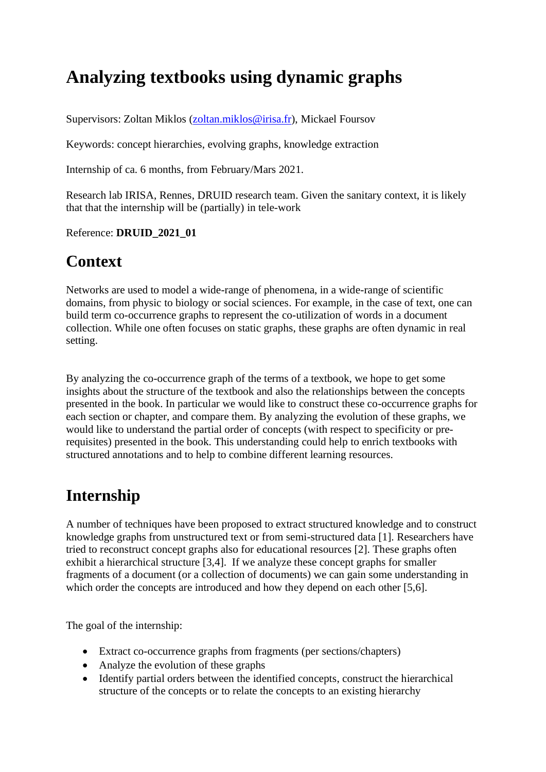# **Analyzing textbooks using dynamic graphs**

Supervisors: Zoltan Miklos [\(zoltan.miklos@irisa.fr\)](mailto:zoltan.miklos@irisa.fr?subject=M2%20internship), Mickael Foursov

Keywords: concept hierarchies, evolving graphs, knowledge extraction

Internship of ca. 6 months, from February/Mars 2021.

Research lab IRISA, Rennes, DRUID research team. Given the sanitary context, it is likely that that the internship will be (partially) in tele-work

Reference: **DRUID\_2021\_01**

### **Context**

Networks are used to model a wide-range of phenomena, in a wide-range of scientific domains, from physic to biology or social sciences. For example, in the case of text, one can build term co-occurrence graphs to represent the co-utilization of words in a document collection. While one often focuses on static graphs, these graphs are often dynamic in real setting.

By analyzing the co-occurrence graph of the terms of a textbook, we hope to get some insights about the structure of the textbook and also the relationships between the concepts presented in the book. In particular we would like to construct these co-occurrence graphs for each section or chapter, and compare them. By analyzing the evolution of these graphs, we would like to understand the partial order of concepts (with respect to specificity or prerequisites) presented in the book. This understanding could help to enrich textbooks with structured annotations and to help to combine different learning resources.

## **Internship**

A number of techniques have been proposed to extract structured knowledge and to construct knowledge graphs from unstructured text or from semi-structured data [1]. Researchers have tried to reconstruct concept graphs also for educational resources [2]. These graphs often exhibit a hierarchical structure [3,4]. If we analyze these concept graphs for smaller fragments of a document (or a collection of documents) we can gain some understanding in which order the concepts are introduced and how they depend on each other [5,6].

The goal of the internship:

- Extract co-occurrence graphs from fragments (per sections/chapters)
- Analyze the evolution of these graphs
- Identify partial orders between the identified concepts, construct the hierarchical structure of the concepts or to relate the concepts to an existing hierarchy